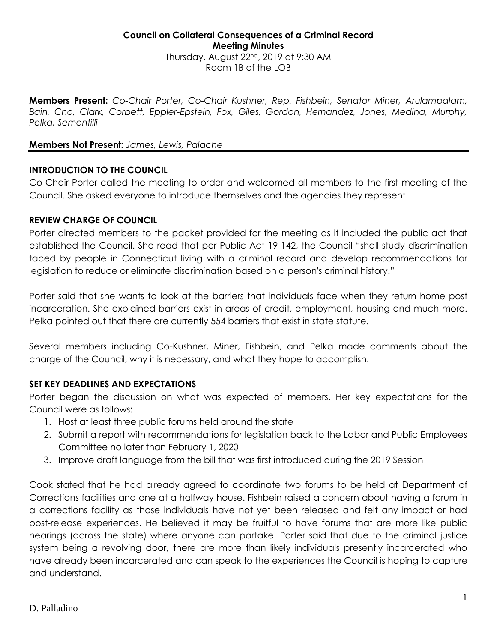#### **Council on Collateral Consequences of a Criminal Record Meeting Minutes** Thursday, August 22nd, 2019 at 9:30 AM Room 1B of the LOB

**Members Present:** *Co-Chair Porter, Co-Chair Kushner, Rep. Fishbein, Senator Miner, Arulampalam, Bain, Cho, Clark, Corbett, Eppler-Epstein, Fox, Giles, Gordon, Hernandez, Jones, Medina, Murphy, Pelka, Sementilli*

### **Members Not Present:** *James, Lewis, Palache*

## **INTRODUCTION TO THE COUNCIL**

Co-Chair Porter called the meeting to order and welcomed all members to the first meeting of the Council. She asked everyone to introduce themselves and the agencies they represent.

### **REVIEW CHARGE OF COUNCIL**

Porter directed members to the packet provided for the meeting as it included the public act that established the Council. She read that per Public Act 19-142, the Council "shall study discrimination faced by people in Connecticut living with a criminal record and develop recommendations for legislation to reduce or eliminate discrimination based on a person's criminal history."

Porter said that she wants to look at the barriers that individuals face when they return home post incarceration. She explained barriers exist in areas of credit, employment, housing and much more. Pelka pointed out that there are currently 554 barriers that exist in state statute.

Several members including Co-Kushner, Miner, Fishbein, and Pelka made comments about the charge of the Council, why it is necessary, and what they hope to accomplish.

## **SET KEY DEADLINES AND EXPECTATIONS**

Porter began the discussion on what was expected of members. Her key expectations for the Council were as follows:

- 1. Host at least three public forums held around the state
- 2. Submit a report with recommendations for legislation back to the Labor and Public Employees Committee no later than February 1, 2020
- 3. Improve draft language from the bill that was first introduced during the 2019 Session

Cook stated that he had already agreed to coordinate two forums to be held at Department of Corrections facilities and one at a halfway house. Fishbein raised a concern about having a forum in a corrections facility as those individuals have not yet been released and felt any impact or had post-release experiences. He believed it may be fruitful to have forums that are more like public hearings (across the state) where anyone can partake. Porter said that due to the criminal justice system being a revolving door, there are more than likely individuals presently incarcerated who have already been incarcerated and can speak to the experiences the Council is hoping to capture and understand.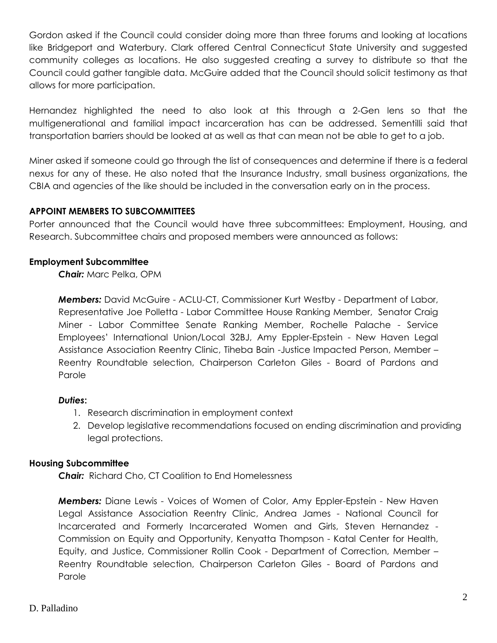Gordon asked if the Council could consider doing more than three forums and looking at locations like Bridgeport and Waterbury. Clark offered Central Connecticut State University and suggested community colleges as locations. He also suggested creating a survey to distribute so that the Council could gather tangible data. McGuire added that the Council should solicit testimony as that allows for more participation.

Hernandez highlighted the need to also look at this through a 2-Gen lens so that the multigenerational and familial impact incarceration has can be addressed. Sementilli said that transportation barriers should be looked at as well as that can mean not be able to get to a job.

Miner asked if someone could go through the list of consequences and determine if there is a federal nexus for any of these. He also noted that the Insurance Industry, small business organizations, the CBIA and agencies of the like should be included in the conversation early on in the process.

## **APPOINT MEMBERS TO SUBCOMMITTEES**

Porter announced that the Council would have three subcommittees: Employment, Housing, and Research. Subcommittee chairs and proposed members were announced as follows:

## **Employment Subcommittee**

*Chair:* Marc Pelka, OPM

*Members:* David McGuire - ACLU-CT, Commissioner Kurt Westby - Department of Labor, Representative Joe Polletta - Labor Committee House Ranking Member, Senator Craig Miner - Labor Committee Senate Ranking Member, Rochelle Palache - Service Employees' International Union/Local 32BJ, Amy Eppler-Epstein - New Haven Legal Assistance Association Reentry Clinic, Tiheba Bain -Justice Impacted Person, Member – Reentry Roundtable selection, Chairperson Carleton Giles - Board of Pardons and Parole

# *Duties***:**

- 1. Research discrimination in employment context
- 2. Develop legislative recommendations focused on ending discrimination and providing legal protections.

# **Housing Subcommittee**

*Chair:* Richard Cho, CT Coalition to End Homelessness

*Members:* Diane Lewis - Voices of Women of Color, Amy Eppler-Epstein - New Haven Legal Assistance Association Reentry Clinic, Andrea James - National Council for Incarcerated and Formerly Incarcerated Women and Girls, Steven Hernandez - Commission on Equity and Opportunity, Kenyatta Thompson - Katal Center for Health, Equity, and Justice, Commissioner Rollin Cook - Department of Correction, Member – Reentry Roundtable selection, Chairperson Carleton Giles - Board of Pardons and Parole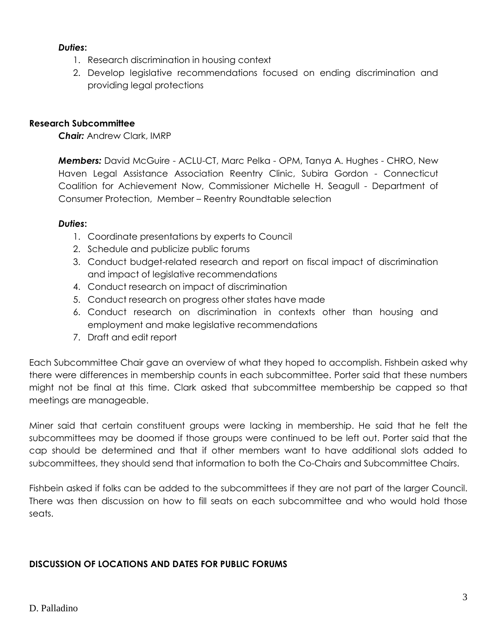## *Duties***:**

- 1. Research discrimination in housing context
- 2. Develop legislative recommendations focused on ending discrimination and providing legal protections

### **Research Subcommittee**

*Chair:* Andrew Clark, IMRP

*Members:* David McGuire - ACLU-CT, Marc Pelka - OPM, Tanya A. Hughes - CHRO, New Haven Legal Assistance Association Reentry Clinic, Subira Gordon - Connecticut Coalition for Achievement Now, Commissioner Michelle H. Seagull - Department of Consumer Protection, Member – Reentry Roundtable selection

### *Duties***:**

- 1. Coordinate presentations by experts to Council
- 2. Schedule and publicize public forums
- 3. Conduct budget-related research and report on fiscal impact of discrimination and impact of legislative recommendations
- 4. Conduct research on impact of discrimination
- 5. Conduct research on progress other states have made
- 6. Conduct research on discrimination in contexts other than housing and employment and make legislative recommendations
- 7. Draft and edit report

Each Subcommittee Chair gave an overview of what they hoped to accomplish. Fishbein asked why there were differences in membership counts in each subcommittee. Porter said that these numbers might not be final at this time. Clark asked that subcommittee membership be capped so that meetings are manageable.

Miner said that certain constituent groups were lacking in membership. He said that he felt the subcommittees may be doomed if those groups were continued to be left out. Porter said that the cap should be determined and that if other members want to have additional slots added to subcommittees, they should send that information to both the Co-Chairs and Subcommittee Chairs.

Fishbein asked if folks can be added to the subcommittees if they are not part of the larger Council. There was then discussion on how to fill seats on each subcommittee and who would hold those seats.

## **DISCUSSION OF LOCATIONS AND DATES FOR PUBLIC FORUMS**